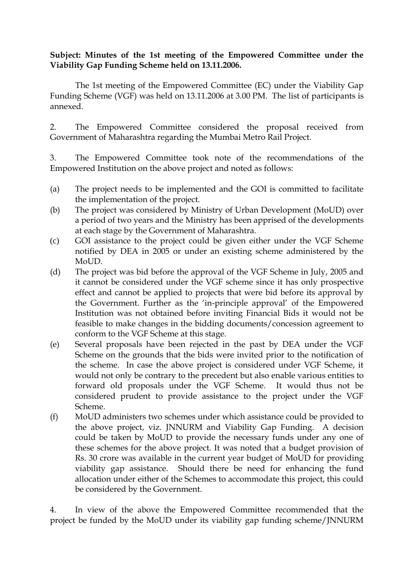## **Subject: Minutes of the 1st meeting of the Empowered Committee under the Viability Gap Funding Scheme held on 13.11.2006.**

The 1st meeting of the Empowered Committee (EC) under the Viability Gap Funding Scheme (VGF) was held on 13.11.2006 at 3.00 PM. The list of participants is annexed.

2. The Empowered Committee considered the proposal received from Government of Maharashtra regarding the Mumbai Metro Rail Project.

3. The Empowered Committee took note of the recommendations of the Empowered Institution on the above project and noted as follows:

- (a) The project needs to be implemented and the GOI is committed to facilitate the implementation of the project.
- (b) The project was considered by Ministry of Urban Development (MoUD) over a period of two years and the Ministry has been apprised of the developments at each stage by the Government of Maharashtra.
- (c) GOI assistance to the project could be given either under the VGF Scheme notified by DEA in 2005 or under an existing scheme administered by the MoUD.
- (d) The project was bid before the approval of the VGF Scheme in July, 2005 and it cannot be considered under the VGF scheme since it has only prospective effect and cannot be applied to projects that were bid before its approval by the Government. Further as the 'in-principle approval' of the Empowered Institution was not obtained before inviting Financial Bids it would not be feasible to make changes in the bidding documents/concession agreement to conform to the VGF Scheme at this stage.
- (e) Several proposals have been rejected in the past by DEA under the VGF Scheme on the grounds that the bids were invited prior to the notification of the scheme. In case the above project is considered under VGF Scheme, it would not only be contrary to the precedent but also enable various entities to forward old proposals under the VGF Scheme. It would thus not be considered prudent to provide assistance to the project under the VGF Scheme.
- (f) MoUD administers two schemes under which assistance could be provided to the above project, viz. JNNURM and Viability Gap Funding. A decision could be taken by MoUD to provide the necessary funds under any one of these schemes for the above project. It was noted that a budget provision of Rs. 30 crore was available in the current year budget of MoUD for providing viability gap assistance. Should there be need for enhancing the fund allocation under either of the Schemes to accommodate this project, this could be considered by the Government.

4. In view of the above the Empowered Committee recommended that the project be funded by the MoUD under its viability gap funding scheme/JNNURM